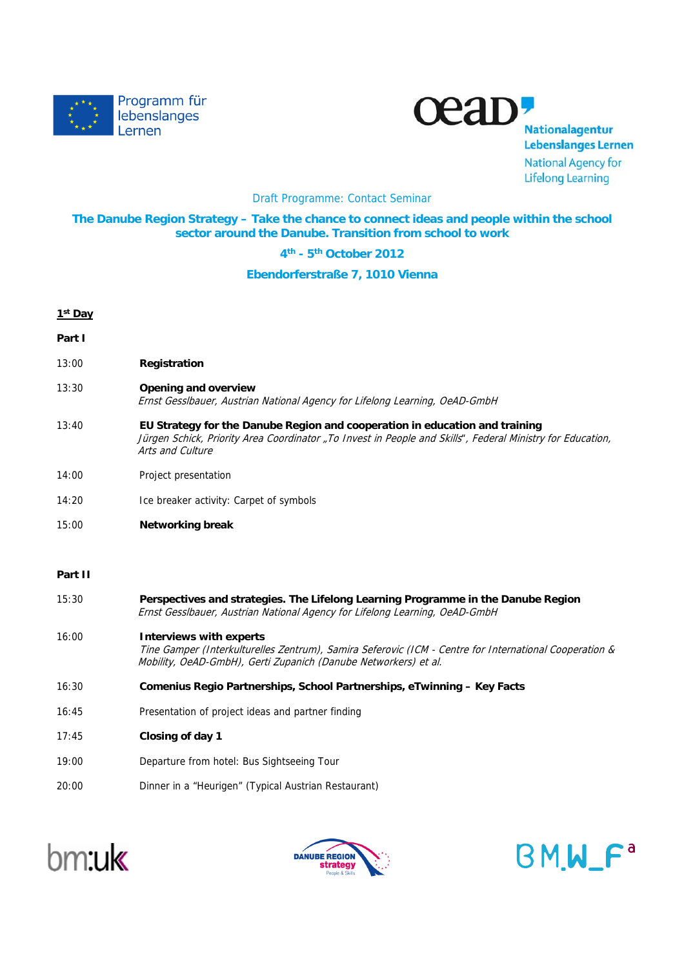



**Nationalagentur Lebenslanges Lernen National Agency for Lifelong Learning** 

### Draft Programme: Contact Seminar

## **The Danube Region Strategy – Take the chance to connect ideas and people within the school sector around the Danube. Transition from school to work**

**4th - 5th October 2012**

#### **Ebendorferstraße 7, 1010 Vienna**

# **1st Day Part I** 13:00 **Registration**

- 13:30 **Opening and overview** Ernst Gesslbauer, Austrian National Agency for Lifelong Learning, OeAD-GmbH
- 13:40 **EU Strategy for the Danube Region and cooperation in education and training** Jürgen Schick, Priority Area Coordinator "To Invest in People and Skills", Federal Ministry for Education, Arts and Culture
- 14:00 Project presentation
- 14:20 Ice breaker activity: Carpet of symbols
- 15:00 **Networking break**

## **Part II**

- 15:30 **Perspectives and strategies. The Lifelong Learning Programme in the Danube Region** Ernst Gesslbauer, Austrian National Agency for Lifelong Learning, OeAD-GmbH 16:00 **Interviews with experts** Tine Gamper (Interkulturelles Zentrum), Samira Seferovic (ICM - Centre for International Cooperation & Mobility, OeAD-GmbH), Gerti Zupanich (Danube Networkers) et al. 16:30 **Comenius Regio Partnerships, School Partnerships, eTwinning – Key Facts** 16:45 Presentation of project ideas and partner finding 17:45 **Closing of day 1** 19:00 Departure from hotel: Bus Sightseeing Tour
- 20:00 Dinner in a "Heurigen" (Typical Austrian Restaurant)